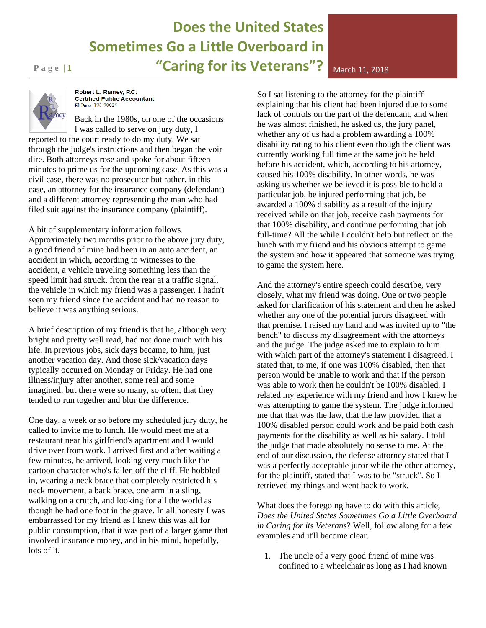## **Does the United States Sometimes Go a Little Overboard in Page 11 11 11 12018 12018 12018 12018 12018 12018 12018 12018**



Robert L. Ramey, P.C. **Certified Public Accountant** El Paso, TX 79925

Back in the 1980s, on one of the occasions I was called to serve on jury duty, I

reported to the court ready to do my duty. We sat through the judge's instructions and then began the voir dire. Both attorneys rose and spoke for about fifteen minutes to prime us for the upcoming case. As this was a civil case, there was no prosecutor but rather, in this case, an attorney for the insurance company (defendant) and a different attorney representing the man who had filed suit against the insurance company (plaintiff).

A bit of supplementary information follows.

Approximately two months prior to the above jury duty, a good friend of mine had been in an auto accident, an accident in which, according to witnesses to the accident, a vehicle traveling something less than the speed limit had struck, from the rear at a traffic signal, the vehicle in which my friend was a passenger. I hadn't seen my friend since the accident and had no reason to believe it was anything serious.

A brief description of my friend is that he, although very bright and pretty well read, had not done much with his life. In previous jobs, sick days became, to him, just another vacation day. And those sick/vacation days typically occurred on Monday or Friday. He had one illness/injury after another, some real and some imagined, but there were so many, so often, that they tended to run together and blur the difference.

One day, a week or so before my scheduled jury duty, he called to invite me to lunch. He would meet me at a restaurant near his girlfriend's apartment and I would drive over from work. I arrived first and after waiting a few minutes, he arrived, looking very much like the cartoon character who's fallen off the cliff. He hobbled in, wearing a neck brace that completely restricted his neck movement, a back brace, one arm in a sling, walking on a crutch, and looking for all the world as though he had one foot in the grave. In all honesty I was embarrassed for my friend as I knew this was all for public consumption, that it was part of a larger game that involved insurance money, and in his mind, hopefully, lots of it.

So I sat listening to the attorney for the plaintiff explaining that his client had been injured due to some lack of controls on the part of the defendant, and when he was almost finished, he asked us, the jury panel, whether any of us had a problem awarding a 100% disability rating to his client even though the client was currently working full time at the same job he held before his accident, which, according to his attorney, caused his 100% disability. In other words, he was asking us whether we believed it is possible to hold a particular job, be injured performing that job, be awarded a 100% disability as a result of the injury received while on that job, receive cash payments for that 100% disability, and continue performing that job full-time? All the while I couldn't help but reflect on the lunch with my friend and his obvious attempt to game the system and how it appeared that someone was trying to game the system here.

And the attorney's entire speech could describe, very closely, what my friend was doing. One or two people asked for clarification of his statement and then he asked whether any one of the potential jurors disagreed with that premise. I raised my hand and was invited up to "the bench" to discuss my disagreement with the attorneys and the judge. The judge asked me to explain to him with which part of the attorney's statement I disagreed. I stated that, to me, if one was 100% disabled, then that person would be unable to work and that if the person was able to work then he couldn't be 100% disabled. I related my experience with my friend and how I knew he was attempting to game the system. The judge informed me that that was the law, that the law provided that a 100% disabled person could work and be paid both cash payments for the disability as well as his salary. I told the judge that made absolutely no sense to me. At the end of our discussion, the defense attorney stated that I was a perfectly acceptable juror while the other attorney, for the plaintiff, stated that I was to be "struck". So I retrieved my things and went back to work.

What does the foregoing have to do with this article, *Does the United States Sometimes Go a Little Overboard in Caring for its Veterans*? Well, follow along for a few examples and it'll become clear.

1. The uncle of a very good friend of mine was confined to a wheelchair as long as I had known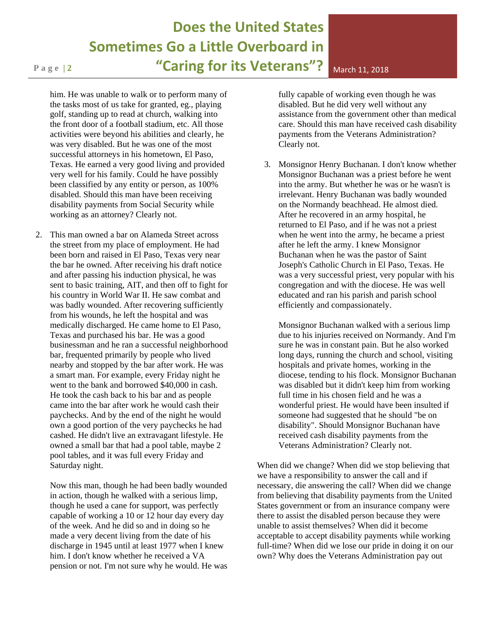## **Does the United States Sometimes Go a Little Overboard in P a g e | 2 "Caring for its Veterans"?** March 11, <sup>2018</sup>

him. He was unable to walk or to perform many of the tasks most of us take for granted, eg., playing golf, standing up to read at church, walking into the front door of a football stadium, etc. All those activities were beyond his abilities and clearly, he was very disabled. But he was one of the most successful attorneys in his hometown, El Paso, Texas. He earned a very good living and provided very well for his family. Could he have possibly been classified by any entity or person, as 100% disabled. Should this man have been receiving disability payments from Social Security while working as an attorney? Clearly not.

2. This man owned a bar on Alameda Street across the street from my place of employment. He had been born and raised in El Paso, Texas very near the bar he owned. After receiving his draft notice and after passing his induction physical, he was sent to basic training, AIT, and then off to fight for his country in World War II. He saw combat and was badly wounded. After recovering sufficiently from his wounds, he left the hospital and was medically discharged. He came home to El Paso, Texas and purchased his bar. He was a good businessman and he ran a successful neighborhood bar, frequented primarily by people who lived nearby and stopped by the bar after work. He was a smart man. For example, every Friday night he went to the bank and borrowed \$40,000 in cash. He took the cash back to his bar and as people came into the bar after work he would cash their paychecks. And by the end of the night he would own a good portion of the very paychecks he had cashed. He didn't live an extravagant lifestyle. He owned a small bar that had a pool table, maybe 2 pool tables, and it was full every Friday and Saturday night.

Now this man, though he had been badly wounded in action, though he walked with a serious limp, though he used a cane for support, was perfectly capable of working a 10 or 12 hour day every day of the week. And he did so and in doing so he made a very decent living from the date of his discharge in 1945 until at least 1977 when I knew him. I don't know whether he received a VA pension or not. I'm not sure why he would. He was fully capable of working even though he was disabled. But he did very well without any assistance from the government other than medical care. Should this man have received cash disability payments from the Veterans Administration? Clearly not.

3. Monsignor Henry Buchanan. I don't know whether Monsignor Buchanan was a priest before he went into the army. But whether he was or he wasn't is irrelevant. Henry Buchanan was badly wounded on the Normandy beachhead. He almost died. After he recovered in an army hospital, he returned to El Paso, and if he was not a priest when he went into the army, he became a priest after he left the army. I knew Monsignor Buchanan when he was the pastor of Saint Joseph's Catholic Church in El Paso, Texas. He was a very successful priest, very popular with his congregation and with the diocese. He was well educated and ran his parish and parish school efficiently and compassionately.

Monsignor Buchanan walked with a serious limp due to his injuries received on Normandy. And I'm sure he was in constant pain. But he also worked long days, running the church and school, visiting hospitals and private homes, working in the diocese, tending to his flock. Monsignor Buchanan was disabled but it didn't keep him from working full time in his chosen field and he was a wonderful priest. He would have been insulted if someone had suggested that he should "be on disability". Should Monsignor Buchanan have received cash disability payments from the Veterans Administration? Clearly not.

When did we change? When did we stop believing that we have a responsibility to answer the call and if necessary, die answering the call? When did we change from believing that disability payments from the United States government or from an insurance company were there to assist the disabled person because they were unable to assist themselves? When did it become acceptable to accept disability payments while working full-time? When did we lose our pride in doing it on our own? Why does the Veterans Administration pay out